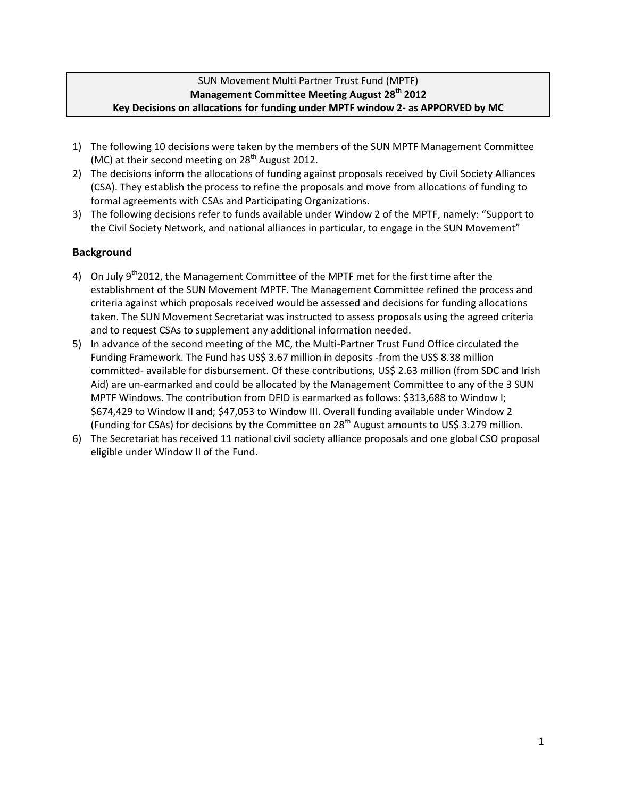## SUN Movement Multi Partner Trust Fund (MPTF) **Management Committee Meeting August 28th 2012 Key Decisions on allocations for funding under MPTF window 2- as APPORVED by MC**

- 1) The following 10 decisions were taken by the members of the SUN MPTF Management Committee (MC) at their second meeting on  $28<sup>th</sup>$  August 2012.
- 2) The decisions inform the allocations of funding against proposals received by Civil Society Alliances (CSA). They establish the process to refine the proposals and move from allocations of funding to formal agreements with CSAs and Participating Organizations.
- 3) The following decisions refer to funds available under Window 2 of the MPTF, namely: "Support to the Civil Society Network, and national alliances in particular, to engage in the SUN Movement"

## **Background**

- 4) On July  $9<sup>th</sup>2012$ , the Management Committee of the MPTF met for the first time after the establishment of the SUN Movement MPTF. The Management Committee refined the process and criteria against which proposals received would be assessed and decisions for funding allocations taken. The SUN Movement Secretariat was instructed to assess proposals using the agreed criteria and to request CSAs to supplement any additional information needed.
- 5) In advance of the second meeting of the MC, the Multi-Partner Trust Fund Office circulated the Funding Framework. The Fund has US\$ 3.67 million in deposits -from the US\$ 8.38 million committed- available for disbursement. Of these contributions, US\$ 2.63 million (from SDC and Irish Aid) are un-earmarked and could be allocated by the Management Committee to any of the 3 SUN MPTF Windows. The contribution from DFID is earmarked as follows: \$313,688 to Window I; \$674,429 to Window II and; \$47,053 to Window III. Overall funding available under Window 2 (Funding for CSAs) for decisions by the Committee on  $28<sup>th</sup>$  August amounts to US\$ 3.279 million.
- 6) The Secretariat has received 11 national civil society alliance proposals and one global CSO proposal eligible under Window II of the Fund.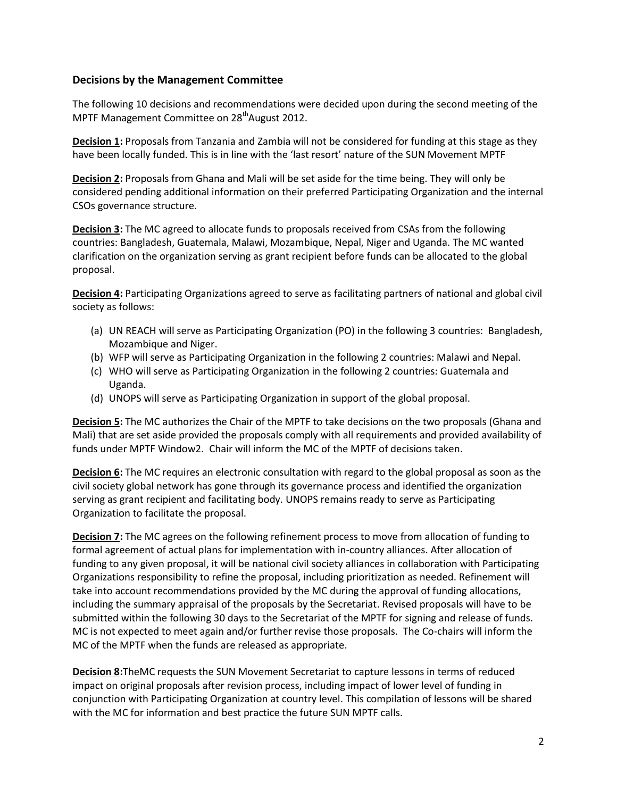## **Decisions by the Management Committee**

The following 10 decisions and recommendations were decided upon during the second meeting of the MPTF Management Committee on 28<sup>th</sup>August 2012.

**Decision 1:** Proposals from Tanzania and Zambia will not be considered for funding at this stage as they have been locally funded. This is in line with the 'last resort' nature of the SUN Movement MPTF

**Decision 2:** Proposals from Ghana and Mali will be set aside for the time being. They will only be considered pending additional information on their preferred Participating Organization and the internal CSOs governance structure.

**Decision 3:** The MC agreed to allocate funds to proposals received from CSAs from the following countries: Bangladesh, Guatemala, Malawi, Mozambique, Nepal, Niger and Uganda. The MC wanted clarification on the organization serving as grant recipient before funds can be allocated to the global proposal.

**Decision 4:** Participating Organizations agreed to serve as facilitating partners of national and global civil society as follows:

- (a) UN REACH will serve as Participating Organization (PO) in the following 3 countries: Bangladesh, Mozambique and Niger.
- (b) WFP will serve as Participating Organization in the following 2 countries: Malawi and Nepal.
- (c) WHO will serve as Participating Organization in the following 2 countries: Guatemala and Uganda.
- (d) UNOPS will serve as Participating Organization in support of the global proposal.

**Decision 5:** The MC authorizes the Chair of the MPTF to take decisions on the two proposals (Ghana and Mali) that are set aside provided the proposals comply with all requirements and provided availability of funds under MPTF Window2. Chair will inform the MC of the MPTF of decisions taken.

**Decision 6:** The MC requires an electronic consultation with regard to the global proposal as soon as the civil society global network has gone through its governance process and identified the organization serving as grant recipient and facilitating body. UNOPS remains ready to serve as Participating Organization to facilitate the proposal.

**Decision 7:** The MC agrees on the following refinement process to move from allocation of funding to formal agreement of actual plans for implementation with in-country alliances. After allocation of funding to any given proposal, it will be national civil society alliances in collaboration with Participating Organizations responsibility to refine the proposal, including prioritization as needed. Refinement will take into account recommendations provided by the MC during the approval of funding allocations, including the summary appraisal of the proposals by the Secretariat. Revised proposals will have to be submitted within the following 30 days to the Secretariat of the MPTF for signing and release of funds. MC is not expected to meet again and/or further revise those proposals. The Co-chairs will inform the MC of the MPTF when the funds are released as appropriate.

**Decision 8:**TheMC requests the SUN Movement Secretariat to capture lessons in terms of reduced impact on original proposals after revision process, including impact of lower level of funding in conjunction with Participating Organization at country level. This compilation of lessons will be shared with the MC for information and best practice the future SUN MPTF calls.